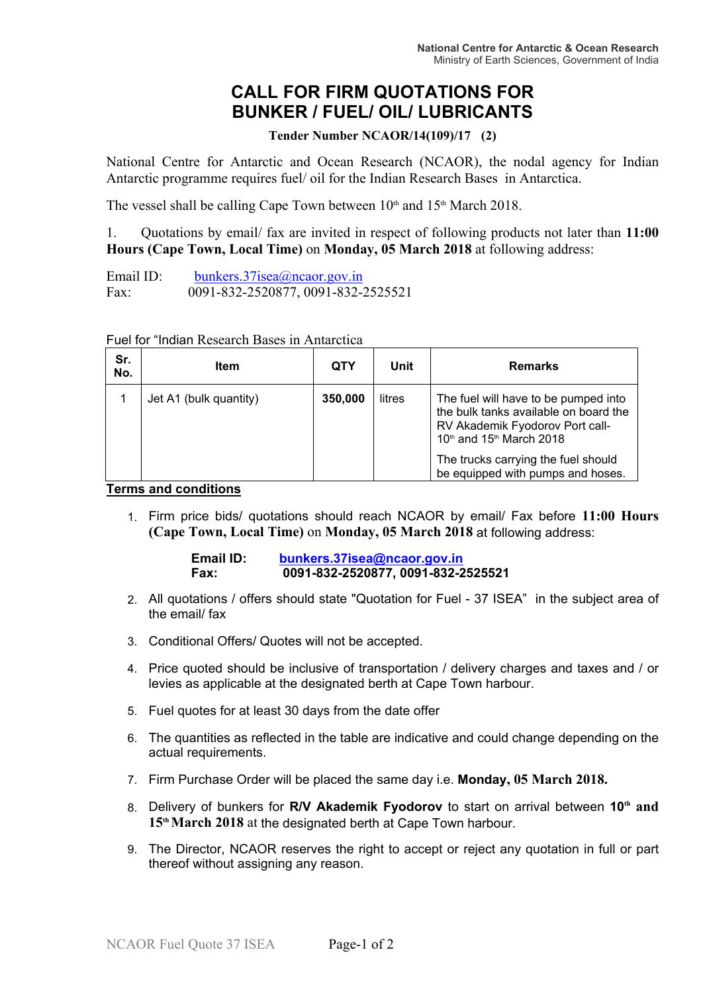## **CALL FOR FIRM QUOTATIONS FOR BUNKER / FUEL/ OIL/ LUBRICANTS**

**Tender Number NCAOR/14(109)/17 (2)**

National Centre for Antarctic and Ocean Research (NCAOR), the nodal agency for Indian Antarctic programme requires fuel/ oil for the Indian Research Bases in Antarctica.

The vessel shall be calling Cape Town between  $10<sup>th</sup>$  and  $15<sup>th</sup>$  March 2018.

1. Quotations by email/ fax are invited in respect of following products not later than **11:00 Hours (Cape Town, Local Time)** on **Monday, 05 March 2018** at following address:

Email ID: bunkers.37isea@ncaor.gov.in Fax: 0091-832-2520877, 0091-832-2525521

| Sr.<br>No. | ltem                   | QTY     | Unit   | <b>Remarks</b>                                                                                                                               |
|------------|------------------------|---------|--------|----------------------------------------------------------------------------------------------------------------------------------------------|
|            | Jet A1 (bulk quantity) | 350,000 | litres | The fuel will have to be pumped into<br>the bulk tanks available on board the<br>RV Akademik Fyodorov Port call-<br>10th and 15th March 2018 |
|            |                        |         |        | The trucks carrying the fuel should<br>be equipped with pumps and hoses.                                                                     |

Fuel for "Indian Research Bases in Antarctica

## **Terms and conditions**

1. Firm price bids/ quotations should reach NCAOR by email/ Fax before **11:00 Hours (Cape Town, Local Time)** on **Monday, 05 March 2018** at following address:

| Email ID: | bunkers.37isea@ncaor.gov.in        |  |  |
|-----------|------------------------------------|--|--|
| Fax:      | 0091-832-2520877, 0091-832-2525521 |  |  |

- 2. All quotations / offers should state "Quotation for Fuel 37 ISEA" in the subject area of the email/ fax
- 3. Conditional Offers/ Quotes will not be accepted.
- 4. Price quoted should be inclusive of transportation / delivery charges and taxes and / or levies as applicable at the designated berth at Cape Town harbour.
- 5. Fuel quotes for at least 30 days from the date offer
- 6. The quantities as reflected in the table are indicative and could change depending on the actual requirements.
- 7. Firm Purchase Order will be placed the same day i.e. **Monday, 05 March 2018.**
- 8. Delivery of bunkers for **R/V Akademik Fyodorov** to start on arrival between **10th and 15thMarch 2018** at the designated berth at Cape Town harbour.
- 9. The Director, NCAOR reserves the right to accept or reject any quotation in full or part thereof without assigning any reason.